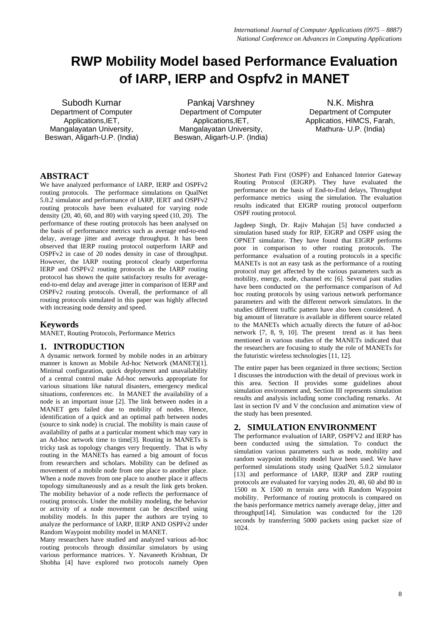# **RWP Mobility Model based Performance Evaluation of IARP, IERP and Ospfv2 in MANET**

Subodh Kumar Department of Computer Applications,IET, Mangalayatan University, Beswan, Aligarh-U.P. (India)

Pankaj Varshney Department of Computer Applications,IET, Mangalayatan University, Beswan, Aligarh-U.P. (India)

N.K. Mishra Department of Computer Applicatios, HIMCS, Farah, Mathura- U.P. (India)

# **ABSTRACT**

We have analyzed performance of IARP, IERP and OSPFv2 routing protocols. The performace simulations on QualNet 5.0.2 simulator and performance of IARP, IERT and OSPFv2 routing protocols have been evaluated for varying node density  $(20, 40, 60,$  and  $80)$  with varying speed  $(10, 20)$ . The performance of these routing protocols has been analysed on the basis of performance metrics such as average end-to-end delay, average jitter and average throughput. It has been observed that IERP routing protocol outperform IARP and OSPFv2 in case of 20 nodes density in case of throughput. However, the IARP routing protocol clearly outperforma IERP and OSPFv2 routing protocols as the IARP routing protocol has shown the quite satisfactory results for averageend-to-end delay and average jitter in comparison of IERP and OSPFv2 routing protocols. Overall, the performance of all routing protocols simulated in this paper was highly affected with increasing node density and speed.

# **Keywords**

MANET, Routing Protocols, Performance Metrics

# **1. INTRODUCTION**

A dynamic network formed by mobile nodes in an arbitrary manner is known as Mobile Ad-hoc Network (MANET)[1]. Minimal configuration, quick deployment and unavailability of a central control make Ad-hoc networks appropriate for various situations like natural disasters, emergency medical situations, conferences etc. In MANET the availability of a node is an important issue [2]. The link between nodes in a MANET gets failed due to mobility of nodes. Hence, identification of a quick and an optimal path between nodes (source to sink node) is crucial. The mobility is main cause of availability of paths at a particular moment which may vary in an Ad-hoc network time to time[3]. Routing in MANETs is tricky task as topology changes very frequently. That is why routing in the MANETs has earned a big amount of focus from researchers and scholars. Mobility can be defined as movement of a mobile node from one place to another place. When a node moves from one place to another place it affects topology simultaneously and as a result the link gets broken. The mobility behavior of a node reflects the performance of routing protocols. Under the mobility modeling, the behavior or activity of a node movement can be described using mobility models. In this paper the authors are trying to analyze the performance of IARP, IERP AND OSPFv2 under Random Waypoint mobility model in MANET.

Many researchers have studied and analyzed various ad-hoc routing protocols through dissimilar simulators by using various performance matrices. Y. Navaneeth Krishnan, Dr Shobha [4] have explored two protocols namely Open

Shortest Path First (OSPF) and Enhanced Interior Gateway Routing Protocol (EIGRP). They have evaluated the performance on the basis of End-to-End delays, Throughput performance metrics using the simulation. The evaluation results indicated that EIGRP routing protocol outperform OSPF routing protocol.

Jagdeep Singh, Dr. Rajiv Mahajan [5] have conducted a simulation based study for RIP, EIGRP and OSPF using the OPNET simulator. They have found that EIGRP performs poor in comparison to other routing protocols. The performance evaluation of a routing protocols in a specific MANETs is not an easy task as the performance of a routing protocol may get affected by the various parameters such as mobility, energy, node, channel etc [6]. Several past studies have been conducted on the performance comparison of Ad hoc routing protocols by using various network performance parameters and with the different network simulators. In the studies different traffic pattern have also been considered. A big amount of literature is available in different source related to the MANETs which actually directs the future of ad-hoc network [7, 8, 9, 10]. The present trend as it has been mentioned in various studies of the MANETs indicated that the researchers are focusing to study the role of MANETs for the futuristic wireless technologies [11, 12].

The entire paper has been organized in three sections; Section I discusses the introduction with the detail of previous work in this area. Section II provides some guidelines about simulation environment and, Section III represents simulation results and analysis including some concluding remarks. At last in section IV and V the conclusion and animation view of the study has been presented.

# **2. SIMULATION ENVIRONMENT**

The performance evaluation of IARP, OSPFV2 and IERP has been conducted using the simulation. To conduct the simulation various parameters such as node, mobility and random waypoint mobility model have been used. We have performed simulations study using QualNet 5.0.2 simulator [13] and performance of IARP, IERP and ZRP routing protocols are evaluated for varying nodes 20, 40, 60 abd 80 in 1500 m X 1500 m terrain area with Random Waypoint mobility. Performance of routing protocols is compared on the basis performance metrics namely average delay, jitter and throughput[14]. Simulation was conducted for the 120 seconds by transferring 5000 packets using packet size of 1024.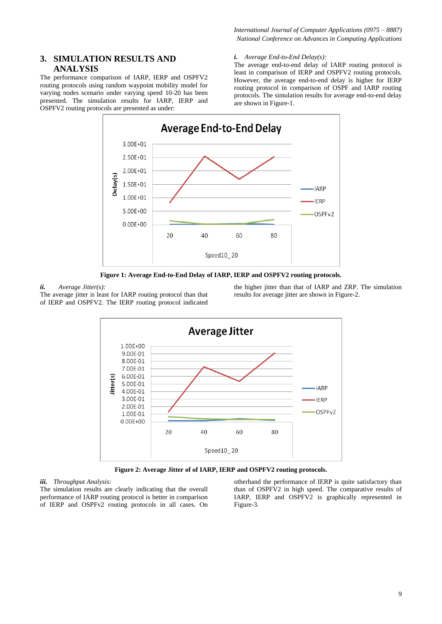# **3. SIMULATION RESULTS AND ANALYSIS**

The performance comparison of IARP, IERP and OSPFV2 routing protocols using random waypoint mobility model for varying nodes scenario under varying speed 10-20 has been presented. The simulation results for IARP, IERP and OSPFV2 routing protocols are presented as under:

#### *i. Average End-to-End Delay(s):*

The average end-to-end delay of IARP routing protocol is least in comparison of IERP and OSPFV2 routing protocols. However, the average end-to-end delay is higher for IERP routing protocol in comparison of OSPF and IARP routing protocols. The simulation results for average end-to-end delay are shown in Figure-1.



**Figure 1: Average End-to-End Delay of IARP, IERP and OSPFV2 routing protocols.**

*ii. Average Jitter(s):*

The average jitter is least for IARP routing protocol than that of IERP and OSPFV2. The IERP routing protocol indicated

the higher jitter than that of IARP and ZRP. The simulation results for average jitter are shown in Figure-2.



**Figure 2: Average Jitter of of IARP, IERP and OSPFV2 routing protocols.**

*iii. Throughput Analysis:*

The simulation results are clearly indicating that the overall performance of IARP routing protocol is better in comparison of IERP and OSPFv2 routing protocols in all cases. On

otherhand the performance of IERP is quite satisfactory than than of OSPFV2 in high speed. The comparative results of IARP, IERP and OSPFV2 is graphically represented in Figure-3.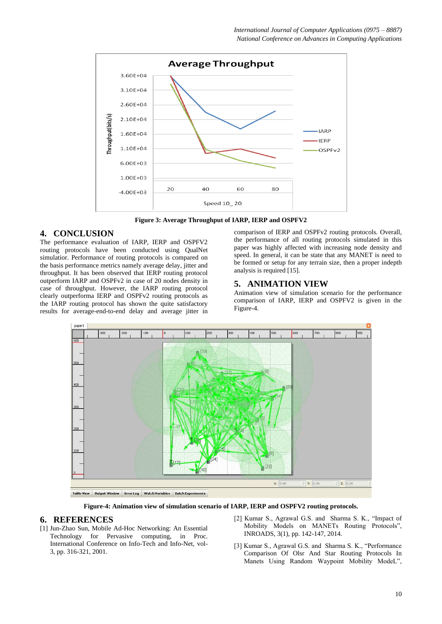

**Figure 3: Average Throughput of IARP, IERP and OSPFV2**

# **4. CONCLUSION**

The performance evaluation of IARP, IERP and OSPFV2 routing protocols have been conducted using QualNet simulatior. Performance of routing protocols is compared on the basis performance metrics namely average delay, jitter and throughput. It has been observed that IERP routing protocol outperform IARP and OSPFv2 in case of 20 nodes density in case of throughput. However, the IARP routing protocol clearly outperforma IERP and OSPFv2 routing protocols as the IARP routing protocol has shown the quite satisfactory results for average-end-to-end delay and average jitter in

comparison of IERP and OSPFv2 routing protocols. Overall, the performance of all routing protocols simulated in this paper was highly affected with increasing node density and speed. In general, it can be state that any MANET is need to be formed or setup for any terrain size, then a proper indepth analysis is required [15].

# **5. ANIMATION VIEW**

Animation view of simulation scenario for the performance comparison of IARP, IERP and OSPFV2 is given in the Figure-4.



**Figure-4: Animation view of simulation scenario of IARP, IERP and OSPFV2 routing protocols.**

#### **6. REFERENCES**

- [1] Jun-Zhao Sun, Mobile Ad-Hoc Networking: An Essential Technology for Pervasive computing, in Proc. International Conference on Info-Tech and Info-Net, vol-3, pp. 316-321, 2001.
- [2] Kumar S., Agrawal G.S. and Sharma S. K., "Impact of Mobility Models on MANETs Routing Protocols", INROADS, 3(1), pp. 142-147, 2014.
- [3] Kumar S., Agrawal G.S. and Sharma S. K., "Performance Comparison Of Olsr And Star Routing Protocols In Manets Using Random Waypoint Mobility ModeL",